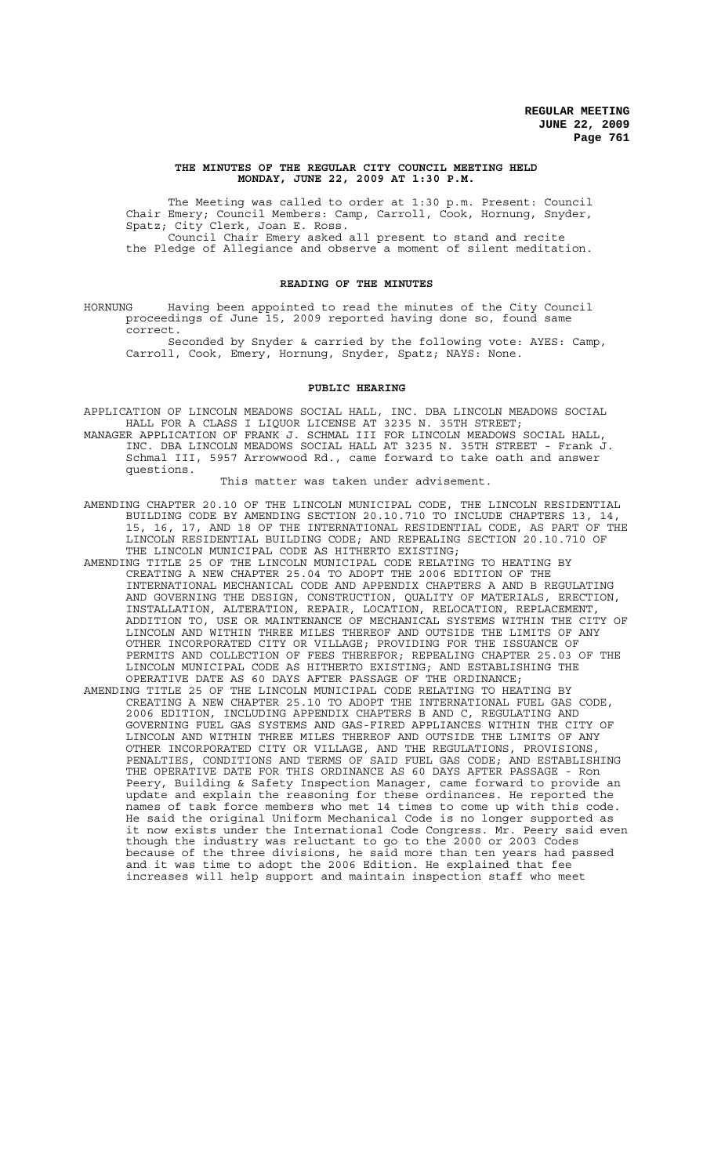### **THE MINUTES OF THE REGULAR CITY COUNCIL MEETING HELD MONDAY, JUNE 22, 2009 AT 1:30 P.M.**

The Meeting was called to order at 1:30 p.m. Present: Council Chair Emery; Council Members: Camp, Carroll, Cook, Hornung, Snyder, Spatz; City Clerk, Joan E. Ross. Council Chair Emery asked all present to stand and recite the Pledge of Allegiance and observe a moment of silent meditation.

## **READING OF THE MINUTES**

HORNUNG Having been appointed to read the minutes of the City Council proceedings of June 15, 2009 reported having done so, found same correct.

Seconded by Snyder & carried by the following vote: AYES: Camp, Carroll, Cook, Emery, Hornung, Snyder, Spatz; NAYS: None.

### **PUBLIC HEARING**

APPLICATION OF LINCOLN MEADOWS SOCIAL HALL, INC. DBA LINCOLN MEADOWS SOCIAL HALL FOR A CLASS I LIQUOR LICENSE AT 3235 N. 35TH STREET;

MANAGER APPLICATION OF FRANK J. SCHMAL III FOR LINCOLN MEADOWS SOCIAL HALL, INC. DBA LINCOLN MEADOWS SOCIAL HALL AT 3235 N. 35TH STREET - Frank J. Schmal III, 5957 Arrowwood Rd., came forward to take oath and answer questions.

This matter was taken under advisement.

- AMENDING CHAPTER 20.10 OF THE LINCOLN MUNICIPAL CODE, THE LINCOLN RESIDENTIAL BUILDING CODE BY AMENDING SECTION 20.10.710 TO INCLUDE CHAPTERS 13, 14, 15, 16, 17, AND 18 OF THE INTERNATIONAL RESIDENTIAL CODE, AS PART OF THE LINCOLN RESIDENTIAL BUILDING CODE; AND REPEALING SECTION 20.10.710 OF THE LINCOLN MUNICIPAL CODE AS HITHERTO EXISTING;
- AMENDING TITLE 25 OF THE LINCOLN MUNICIPAL CODE RELATING TO HEATING BY CREATING A NEW CHAPTER 25.04 TO ADOPT THE 2006 EDITION OF THE INTERNATIONAL MECHANICAL CODE AND APPENDIX CHAPTERS A AND B REGULATING AND GOVERNING THE DESIGN, CONSTRUCTION, QUALITY OF MATERIALS, ERECTION, INSTALLATION, ALTERATION, REPAIR, LOCATION, RELOCATION, REPLACEMENT, ADDITION TO, USE OR MAINTENANCE OF MECHANICAL SYSTEMS WITHIN THE CITY OF LINCOLN AND WITHIN THREE MILES THEREOF AND OUTSIDE THE LIMITS OF ANY OTHER INCORPORATED CITY OR VILLAGE; PROVIDING FOR THE ISSUANCE OF PERMITS AND COLLECTION OF FEES THEREFOR; REPEALING CHAPTER 25.03 OF THE LINCOLN MUNICIPAL CODE AS HITHERTO EXISTING; AND ESTABLISHING THE OPERATIVE DATE AS 60 DAYS AFTER PASSAGE OF THE ORDINANCE;
- AMENDING TITLE 25 OF THE LINCOLN MUNICIPAL CODE RELATING TO HEATING BY CREATING A NEW CHAPTER 25.10 TO ADOPT THE INTERNATIONAL FUEL GAS CODE, 2006 EDITION, INCLUDING APPENDIX CHAPTERS B AND C, REGULATING AND GOVERNING FUEL GAS SYSTEMS AND GAS-FIRED APPLIANCES WITHIN THE CITY OF LINCOLN AND WITHIN THREE MILES THEREOF AND OUTSIDE THE LIMITS OF ANY OTHER INCORPORATED CITY OR VILLAGE, AND THE REGULATIONS, PROVISIONS, PENALTIES, CONDITIONS AND TERMS OF SAID FUEL GAS CODE; AND ESTABLISHING THE OPERATIVE DATE FOR THIS ORDINANCE AS 60 DAYS AFTER PASSAGE - Ron Peery, Building & Safety Inspection Manager, came forward to provide an update and explain the reasoning for these ordinances. He reported the names of task force members who met 14 times to come up with this code. He said the original Uniform Mechanical Code is no longer supported as it now exists under the International Code Congress. Mr. Peery said even though the industry was reluctant to go to the 2000 or 2003 Codes because of the three divisions, he said more than ten years had passed and it was time to adopt the 2006 Edition. He explained that fee increases will help support and maintain inspection staff who meet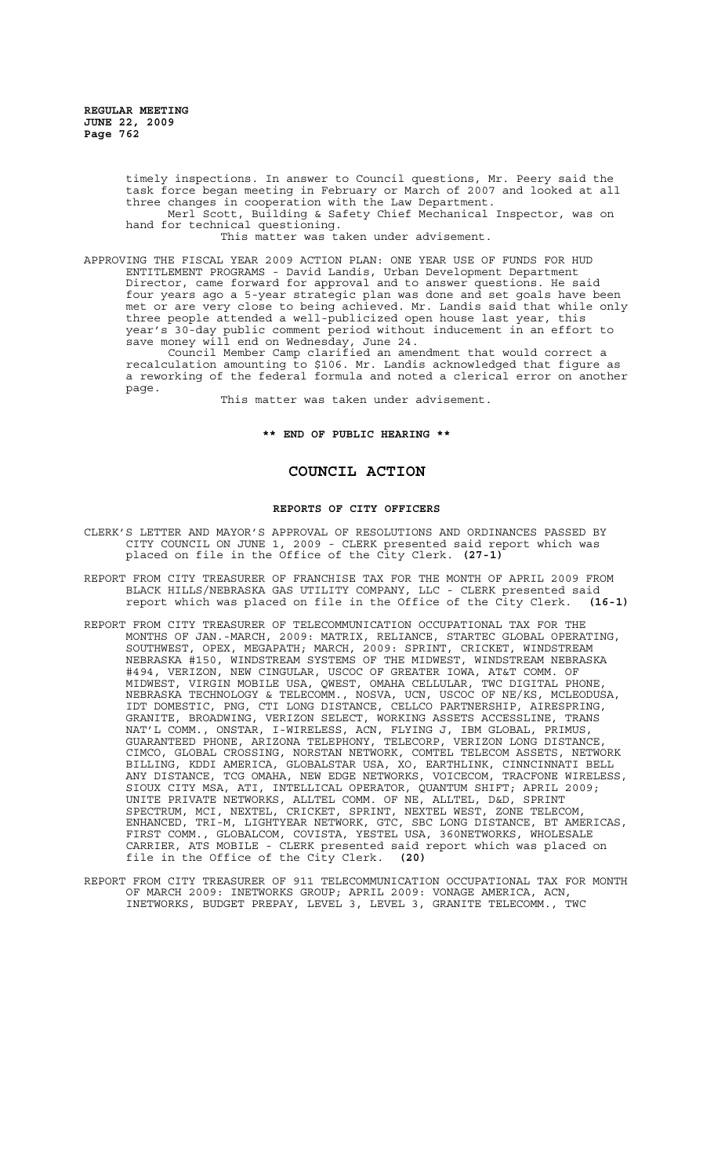> timely inspections. In answer to Council questions, Mr. Peery said the task force began meeting in February or March of 2007 and looked at all three changes in cooperation with the Law Department.

> Merl Scott, Building & Safety Chief Mechanical Inspector, was on hand for technical questioning.

This matter was taken under advisement.

APPROVING THE FISCAL YEAR 2009 ACTION PLAN: ONE YEAR USE OF FUNDS FOR HUD ENTITLEMENT PROGRAMS - David Landis, Urban Development Department Director, came forward for approval and to answer questions. He said four years ago a 5-year strategic plan was done and set goals have been met or are very close to being achieved. Mr. Landis said that while only three people attended a well-publicized open house last year, this year's 30-day public comment period without inducement in an effort to save money will end on Wednesday, June 24.

Council Member Camp clarified an amendment that would correct a recalculation amounting to \$106. Mr. Landis acknowledged that figure as a reworking of the federal formula and noted a clerical error on another page.

This matter was taken under advisement.

**\*\* END OF PUBLIC HEARING \*\***

# **COUNCIL ACTION**

### **REPORTS OF CITY OFFICERS**

- CLERK'S LETTER AND MAYOR'S APPROVAL OF RESOLUTIONS AND ORDINANCES PASSED BY CITY COUNCIL ON JUNE 1, 2009 - CLERK presented said report which was placed on file in the Office of the City Clerk. **(27-1)**
- REPORT FROM CITY TREASURER OF FRANCHISE TAX FOR THE MONTH OF APRIL 2009 FROM BLACK HILLS/NEBRASKA GAS UTILITY COMPANY, LLC - CLERK presented said report which was placed on file in the Office of the City Clerk. **(16-1)**
- REPORT FROM CITY TREASURER OF TELECOMMUNICATION OCCUPATIONAL TAX FOR THE MONTHS OF JAN.-MARCH, 2009: MATRIX, RELIANCE, STARTEC GLOBAL OPERATING, SOUTHWEST, OPEX, MEGAPATH; MARCH, 2009: SPRINT, CRICKET, WINDSTREAM NEBRASKA #150, WINDSTREAM SYSTEMS OF THE MIDWEST, WINDSTREAM NEBRASKA #494, VERIZON, NEW CINGULAR, USCOC OF GREATER IOWA, AT&T COMM. OF MIDWEST, VIRGIN MOBILE USA, QWEST, OMAHA CELLULAR, TWC DIGITAL PHONE, NEBRASKA TECHNOLOGY & TELECOMM., NOSVA, UCN, USCOC OF NE/KS, MCLEODUSA, IDT DOMESTIC, PNG, CTI LONG DISTANCE, CELLCO PARTNERSHIP, AIRESPRING, GRANITE, BROADWING, VERIZON SELECT, WORKING ASSETS ACCESSLINE, TRANS NAT'L COMM., ONSTAR, I-WIRELESS, ACN, FLYING J, IBM GLOBAL, PRIMUS, GUARANTEED PHONE, ARIZONA TELEPHONY, TELECORP, VERIZON LONG DISTANCE, CIMCO, GLOBAL CROSSING, NORSTAN NETWORK, COMTEL TELECOM ASSETS, NETWORK BILLING, KDDI AMERICA, GLOBALSTAR USA, XO, EARTHLINK, CINNCINNATI BELL ANY DISTANCE, TCG OMAHA, NEW EDGE NETWORKS, VOICECOM, TRACFONE WIRELESS, SIOUX CITY MSA, ATI, INTELLICAL OPERATOR, QUANTUM SHIFT; APRIL 2009; UNITE PRIVATE NETWORKS, ALLTEL COMM. OF NE, ALLTEL, D&D, SPRINT SPECTRUM, MCI, NEXTEL, CRICKET, SPRINT, NEXTEL WEST, ZONE TELECOM, ENHANCED, TRI-M, LIGHTYEAR NETWORK, GTC, SBC LONG DISTANCE, BT AMERICAS, FIRST COMM., GLOBALCOM, COVISTA, YESTEL USA, 360NETWORKS, WHOLESALE CARRIER, ATS MOBILE - CLERK presented said report which was placed on file in the Office of the City Clerk. **(20)**
- REPORT FROM CITY TREASURER OF 911 TELECOMMUNICATION OCCUPATIONAL TAX FOR MONTH OF MARCH 2009: INETWORKS GROUP; APRIL 2009: VONAGE AMERICA, ACN, INETWORKS, BUDGET PREPAY, LEVEL 3, LEVEL 3, GRANITE TELECOMM., TWC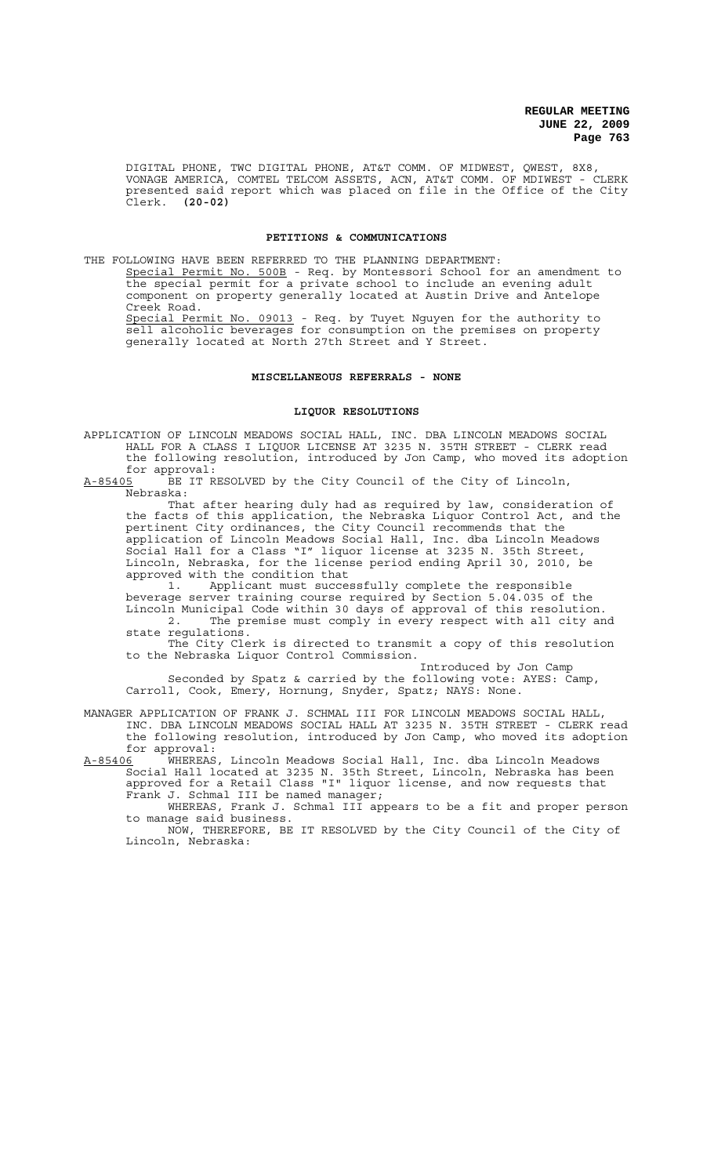DIGITAL PHONE, TWC DIGITAL PHONE, AT&T COMM. OF MIDWEST, QWEST, 8X8, VONAGE AMERICA, COMTEL TELCOM ASSETS, ACN, AT&T COMM. OF MDIWEST - CLERK presented said report which was placed on file in the Office of the City Clerk. **(20-02)**

### **PETITIONS & COMMUNICATIONS**

THE FOLLOWING HAVE BEEN REFERRED TO THE PLANNING DEPARTMENT: Special Permit No. 500B - Req. by Montessori School for an amendment to the special permit for a private school to include an evening adult component on property generally located at Austin Drive and Antelope Creek Road. Special Permit No. 09013 - Req. by Tuyet Nguyen for the authority to sell alcoholic beverages for consumption on the premises on property generally located at North 27th Street and Y Street.

### **MISCELLANEOUS REFERRALS - NONE**

### **LIQUOR RESOLUTIONS**

APPLICATION OF LINCOLN MEADOWS SOCIAL HALL, INC. DBA LINCOLN MEADOWS SOCIAL HALL FOR A CLASS I LIQUOR LICENSE AT 3235 N. 35TH STREET - CLERK read the following resolution, introduced by Jon Camp, who moved its adoption for approval:

A-85405 BE IT RESOLVED by the City Council of the City of Lincoln, Nebraska:

That after hearing duly had as required by law, consideration of the facts of this application, the Nebraska Liquor Control Act, and the pertinent City ordinances, the City Council recommends that the application of Lincoln Meadows Social Hall, Inc. dba Lincoln Meadows Social Hall for a Class "I" liquor license at 3235 N. 35th Street, Lincoln, Nebraska, for the license period ending April 30, 2010, be approved with the condition that

1. Applicant must successfully complete the responsible beverage server training course required by Section 5.04.035 of the Lincoln Municipal Code within 30 days of approval of this resolution. 2. The premise must comply in every respect with all city and

state regulations. The City Clerk is directed to transmit a copy of this resolution to the Nebraska Liquor Control Commission.

Introduced by Jon Camp Seconded by Spatz & carried by the following vote: AYES: Camp, Carroll, Cook, Emery, Hornung, Snyder, Spatz; NAYS: None.

MANAGER APPLICATION OF FRANK J. SCHMAL III FOR LINCOLN MEADOWS SOCIAL HALL, INC. DBA LINCOLN MEADOWS SOCIAL HALL AT 3235 N. 35TH STREET - CLERK read the following resolution, introduced by Jon Camp, who moved its adoption for approval:<br>A-85406 WHEREAS

A-85406 WHEREAS, Lincoln Meadows Social Hall, Inc. dba Lincoln Meadows Social Hall located at 3235 N. 35th Street, Lincoln, Nebraska has been approved for a Retail Class "I" liquor license, and now requests that Frank J. Schmal III be named manager;

WHEREAS, Frank J. Schmal III appears to be a fit and proper person to manage said business.

NOW, THEREFORE, BE IT RESOLVED by the City Council of the City of Lincoln, Nebraska: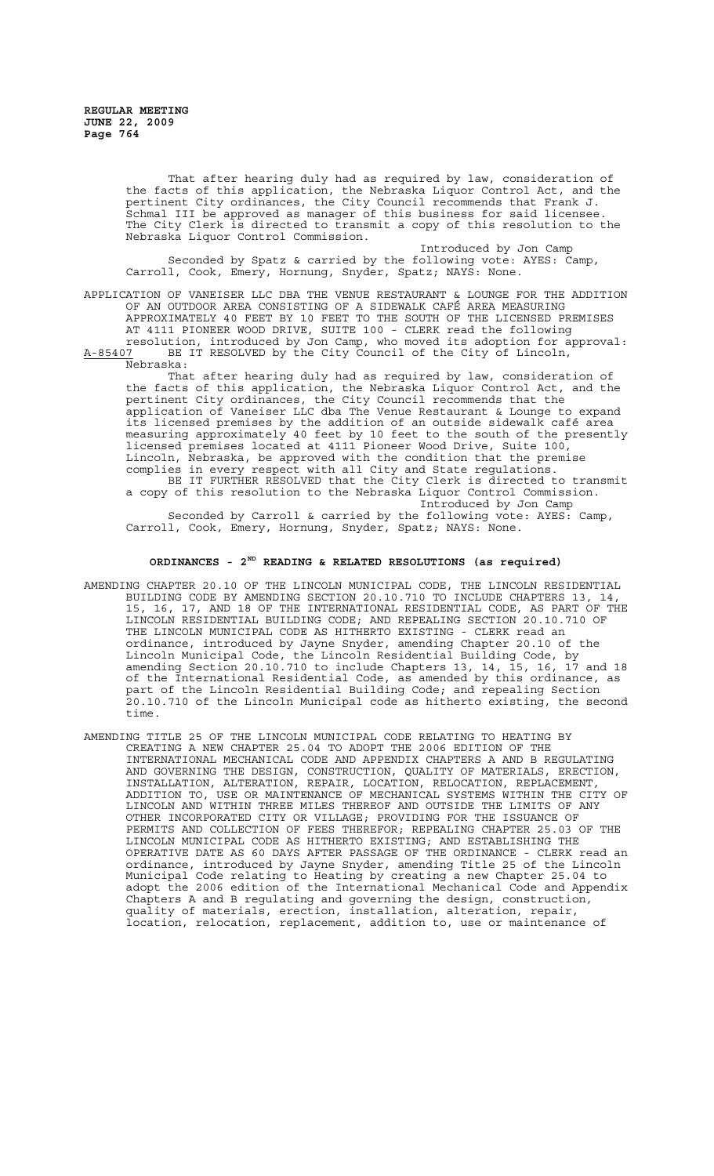> That after hearing duly had as required by law, consideration of the facts of this application, the Nebraska Liquor Control Act, and the pertinent City ordinances, the City Council recommends that Frank J. Schmal III be approved as manager of this business for said licensee. The City Clerk is directed to transmit a copy of this resolution to the Nebraska Liquor Control Commission.

Introduced by Jon Camp Seconded by Spatz & carried by the following vote: AYES: Camp, Carroll, Cook, Emery, Hornung, Snyder, Spatz; NAYS: None.

APPLICATION OF VANEISER LLC DBA THE VENUE RESTAURANT & LOUNGE FOR THE ADDITION OF AN OUTDOOR AREA CONSISTING OF A SIDEWALK CAFÉ AREA MEASURING APPROXIMATELY 40 FEET BY 10 FEET TO THE SOUTH OF THE LICENSED PREMISES AT 4111 PIONEER WOOD DRIVE, SUITE 100 - CLERK read the following resolution, introduced by Jon Camp, who moved its adoption for approval: A-85407 BE IT RESOLVED by the City Council of the City of Lincoln,

Nebraska:

That after hearing duly had as required by law, consideration of the facts of this application, the Nebraska Liquor Control Act, and the pertinent City ordinances, the City Council recommends that the application of Vaneiser LLC dba The Venue Restaurant & Lounge to expand its licensed premises by the addition of an outside sidewalk café area measuring approximately 40 feet by 10 feet to the south of the presently licensed premises located at 4111 Pioneer Wood Drive, Suite 100, Lincoln, Nebraska, be approved with the condition that the premise complies in every respect with all City and State regulations. BE IT FURTHER RESOLVED that the City Clerk is directed to transmit a copy of this resolution to the Nebraska Liquor Control Commission. Introduced by Jon Camp Seconded by Carroll & carried by the following vote: AYES: Camp, Carroll, Cook, Emery, Hornung, Snyder, Spatz; NAYS: None.

# **ORDINANCES - 2ND READING & RELATED RESOLUTIONS (as required)**

- AMENDING CHAPTER 20.10 OF THE LINCOLN MUNICIPAL CODE, THE LINCOLN RESIDENTIAL BUILDING CODE BY AMENDING SECTION 20.10.710 TO INCLUDE CHAPTERS 13, 14, 15, 16, 17, AND 18 OF THE INTERNATIONAL RESIDENTIAL CODE, AS PART OF THE LINCOLN RESIDENTIAL BUILDING CODE; AND REPEALING SECTION 20.10.710 OF THE LINCOLN MUNICIPAL CODE AS HITHERTO EXISTING - CLERK read an ordinance, introduced by Jayne Snyder, amending Chapter 20.10 of the Lincoln Municipal Code, the Lincoln Residential Building Code, by amending Section 20.10.710 to include Chapters 13, 14, 15, 16, 17 and 18 of the International Residential Code, as amended by this ordinance, as part of the Lincoln Residential Building Code; and repealing Section 20.10.710 of the Lincoln Municipal code as hitherto existing, the second time.
- AMENDING TITLE 25 OF THE LINCOLN MUNICIPAL CODE RELATING TO HEATING BY CREATING A NEW CHAPTER 25.04 TO ADOPT THE 2006 EDITION OF THE INTERNATIONAL MECHANICAL CODE AND APPENDIX CHAPTERS A AND B REGULATING AND GOVERNING THE DESIGN, CONSTRUCTION, QUALITY OF MATERIALS, ERECTION, INSTALLATION, ALTERATION, REPAIR, LOCATION, RELOCATION, REPLACEMENT, ADDITION TO, USE OR MAINTENANCE OF MECHANICAL SYSTEMS WITHIN THE CITY OF LINCOLN AND WITHIN THREE MILES THEREOF AND OUTSIDE THE LIMITS OF ANY OTHER INCORPORATED CITY OR VILLAGE; PROVIDING FOR THE ISSUANCE OF PERMITS AND COLLECTION OF FEES THEREFOR; REPEALING CHAPTER 25.03 OF THE LINCOLN MUNICIPAL CODE AS HITHERTO EXISTING; AND ESTABLISHING THE OPERATIVE DATE AS 60 DAYS AFTER PASSAGE OF THE ORDINANCE - CLERK read an ordinance, introduced by Jayne Snyder, amending Title 25 of the Lincoln Municipal Code relating to Heating by creating a new Chapter 25.04 to adopt the 2006 edition of the International Mechanical Code and Appendix Chapters A and B regulating and governing the design, construction, quality of materials, erection, installation, alteration, repair, location, relocation, replacement, addition to, use or maintenance of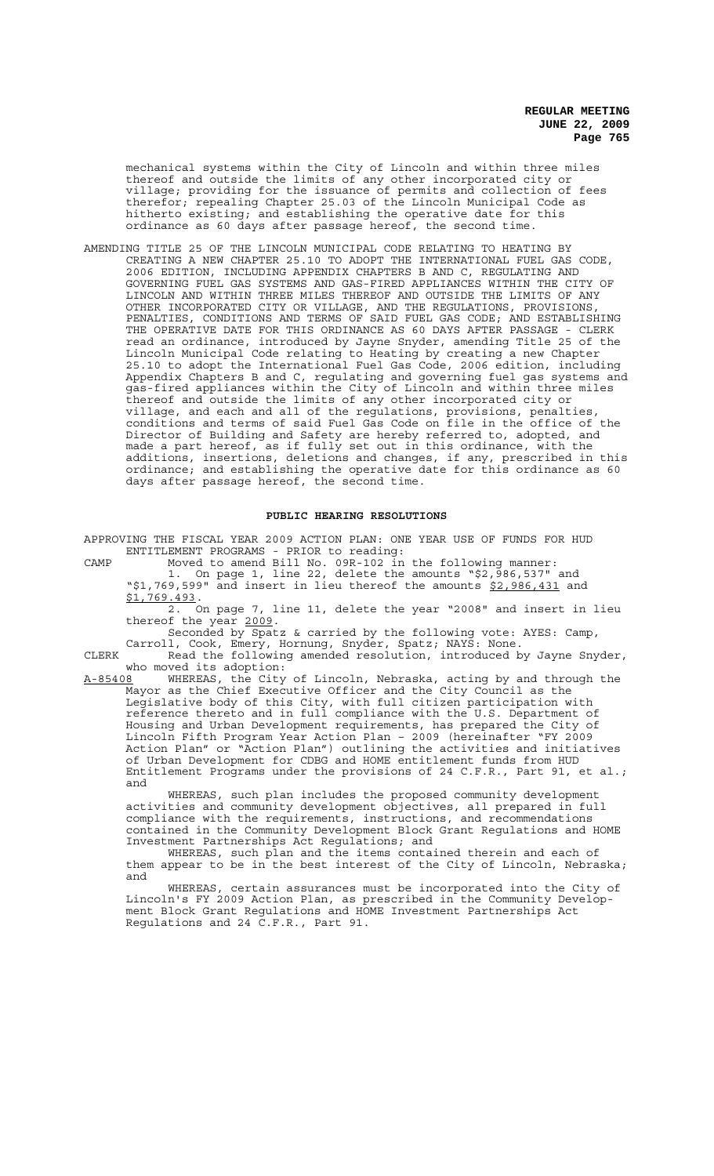mechanical systems within the City of Lincoln and within three miles thereof and outside the limits of any other incorporated city or village; providing for the issuance of permits and collection of fees therefor; repealing Chapter 25.03 of the Lincoln Municipal Code as hitherto existing; and establishing the operative date for this ordinance as 60 days after passage hereof, the second time.

AMENDING TITLE 25 OF THE LINCOLN MUNICIPAL CODE RELATING TO HEATING BY CREATING A NEW CHAPTER 25.10 TO ADOPT THE INTERNATIONAL FUEL GAS CODE, 2006 EDITION, INCLUDING APPENDIX CHAPTERS B AND C, REGULATING AND GOVERNING FUEL GAS SYSTEMS AND GAS-FIRED APPLIANCES WITHIN THE CITY OF LINCOLN AND WITHIN THREE MILES THEREOF AND OUTSIDE THE LIMITS OF ANY OTHER INCORPORATED CITY OR VILLAGE, AND THE REGULATIONS, PROVISIONS, PENALTIES, CONDITIONS AND TERMS OF SAID FUEL GAS CODE; AND ESTABLISHING THE OPERATIVE DATE FOR THIS ORDINANCE AS 60 DAYS AFTER PASSAGE - CLERK read an ordinance, introduced by Jayne Snyder, amending Title 25 of the Lincoln Municipal Code relating to Heating by creating a new Chapter 25.10 to adopt the International Fuel Gas Code, 2006 edition, including Appendix Chapters B and C, regulating and governing fuel gas systems and gas-fired appliances within the City of Lincoln and within three miles thereof and outside the limits of any other incorporated city or village, and each and all of the regulations, provisions, penalties, conditions and terms of said Fuel Gas Code on file in the office of the Director of Building and Safety are hereby referred to, adopted, and made a part hereof, as if fully set out in this ordinance, with the additions, insertions, deletions and changes, if any, prescribed in this ordinance; and establishing the operative date for this ordinance as 60 days after passage hereof, the second time.

### **PUBLIC HEARING RESOLUTIONS**

APPROVING THE FISCAL YEAR 2009 ACTION PLAN: ONE YEAR USE OF FUNDS FOR HUD ENTITLEMENT PROGRAMS - PRIOR to reading:

CAMP Moved to amend Bill No. 09R-102 in the following manner:<br>1. On page 1, line 22, delete the amounts "\$2,986,537" and On page 1, line 22, delete the amounts " $$2,986,537"$ " $$1,769,599"$  and insert in lieu thereof the amounts  $$2,986,431$  and \$1,769.493.

2. On page 7, line 11, delete the year "2008" and insert in lieu thereof the year 2009.

Seconded by Spatz & carried by the following vote: AYES: Camp,

Carroll, Cook, Emery, Hornung, Snyder, Spatz; NAYS: None. CLERK Read the following amended resolution, introduced by Jayne Snyder, who moved its adoption:

A-85408 WHEREAS, the City of Lincoln, Nebraska, acting by and through the Mayor as the Chief Executive Officer and the City Council as the Legislative body of this City, with full citizen participation with reference thereto and in full compliance with the U.S. Department of Housing and Urban Development requirements, has prepared the City of Lincoln Fifth Program Year Action Plan – 2009 (hereinafter "FY 2009 Action Plan" or "Action Plan") outlining the activities and initiatives of Urban Development for CDBG and HOME entitlement funds from HUD Entitlement Programs under the provisions of 24 C.F.R., Part 91, et al.; and

WHEREAS, such plan includes the proposed community development activities and community development objectives, all prepared in full compliance with the requirements, instructions, and recommendations contained in the Community Development Block Grant Regulations and HOME Investment Partnerships Act Regulations; and

WHEREAS, such plan and the items contained therein and each of them appear to be in the best interest of the City of Lincoln, Nebraska; and

WHEREAS, certain assurances must be incorporated into the City of Lincoln's FY 2009 Action Plan, as prescribed in the Community Development Block Grant Regulations and HOME Investment Partnerships Act Regulations and 24 C.F.R., Part 91.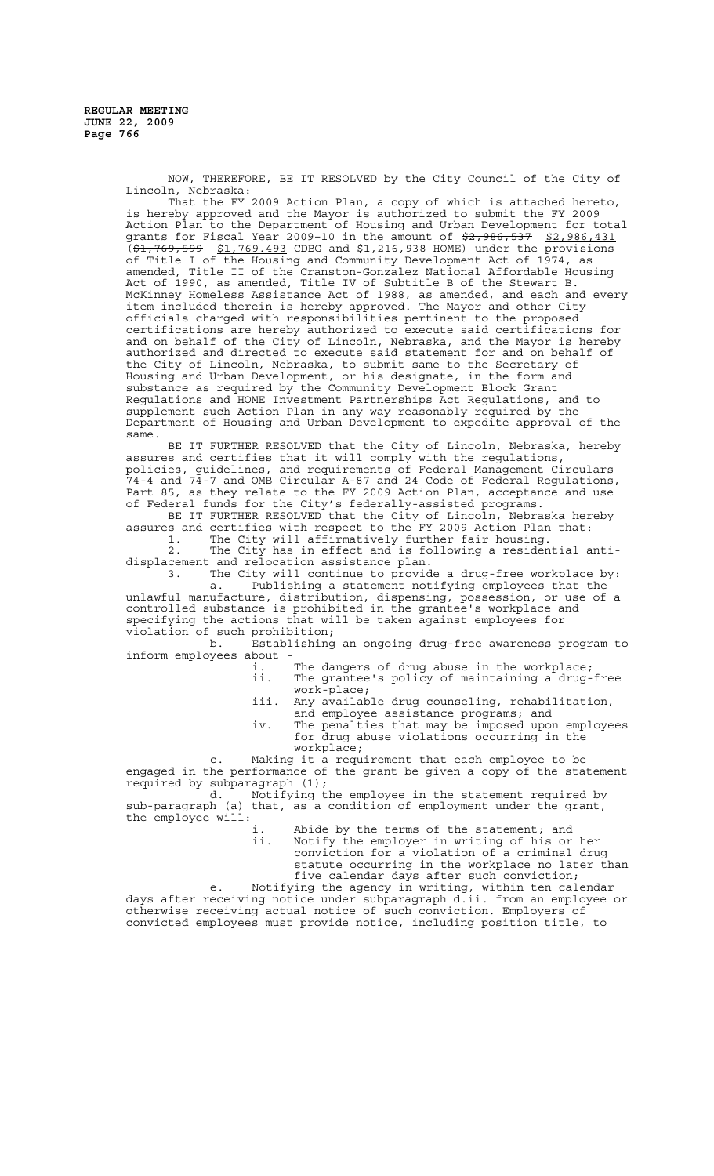NOW, THEREFORE, BE IT RESOLVED by the City Council of the City of Lincoln, Nebraska:

That the FY 2009 Action Plan, a copy of which is attached hereto, is hereby approved and the Mayor is authorized to submit the FY 2009 Action Plan to the Department of Housing and Urban Development for total grants for Fiscal Year 2009-10 in the amount of \$2,986,537 \$2,986,431  $\sqrt{(1, 769, 599 \text{ s})1, 769.493}$  CDBG and \$1,216,938 HOME) under the provisions of Title I of the Housing and Community Development Act of 1974, as amended, Title II of the Cranston-Gonzalez National Affordable Housing Act of 1990, as amended, Title IV of Subtitle B of the Stewart B. McKinney Homeless Assistance Act of 1988, as amended, and each and every item included therein is hereby approved. The Mayor and other City officials charged with responsibilities pertinent to the proposed certifications are hereby authorized to execute said certifications for and on behalf of the City of Lincoln, Nebraska, and the Mayor is hereby authorized and directed to execute said statement for and on behalf of the City of Lincoln, Nebraska, to submit same to the Secretary of Housing and Urban Development, or his designate, in the form and substance as required by the Community Development Block Grant Regulations and HOME Investment Partnerships Act Regulations, and to supplement such Action Plan in any way reasonably required by the Department of Housing and Urban Development to expedite approval of the same.

BE IT FURTHER RESOLVED that the City of Lincoln, Nebraska, hereby assures and certifies that it will comply with the regulations, policies, guidelines, and requirements of Federal Management Circulars 74-4 and 74-7 and OMB Circular A-87 and 24 Code of Federal Regulations, Part 85, as they relate to the FY 2009 Action Plan, acceptance and use of Federal funds for the City's federally-assisted programs.

BE IT FURTHER RESOLVED that the City of Lincoln, Nebraska hereby assures and certifies with respect to the FY 2009 Action Plan that: 1. The City will affirmatively further fair housing.

2. The City has in effect and is following a residential antidisplacement and relocation assistance plan.

3. The City will continue to provide a drug-free workplace by: a. Publishing a statement notifying employees that the unlawful manufacture, distribution, dispensing, possession, or use of a controlled substance is prohibited in the grantee's workplace and specifying the actions that will be taken against employees for violation of such prohibition;

b. Establishing an ongoing drug-free awareness program to inform employees about -

i. The dangers of drug abuse in the workplace;<br>ii. The grantee's policy of maintaining a drug-The grantee's policy of maintaining a drug-free

work-place; iii. Any available drug counseling, rehabilitation,

and employee assistance programs; and

iv. The penalties that may be imposed upon employees drug abuse violations occurring in the workplace;

c. Making it a requirement that each employee to be engaged in the performance of the grant be given a  $copy$  of the statement required by subparagraph (1);<br>d. Notifying t

Notifying the employee in the statement required by sub-paragraph (a) that, as a condition of employment under the grant, the employee will:

i. Abide by the terms of the statement; and ii. Notify the employer in writing of his or her conviction for a violation of a criminal drug statute occurring in the workplace no later than five calendar days after such conviction;

e. Notifying the agency in writing, within ten calendar days after receiving notice under subparagraph d.ii. from an employee or otherwise receiving actual notice of such conviction. Employers of convicted employees must provide notice, including position title, to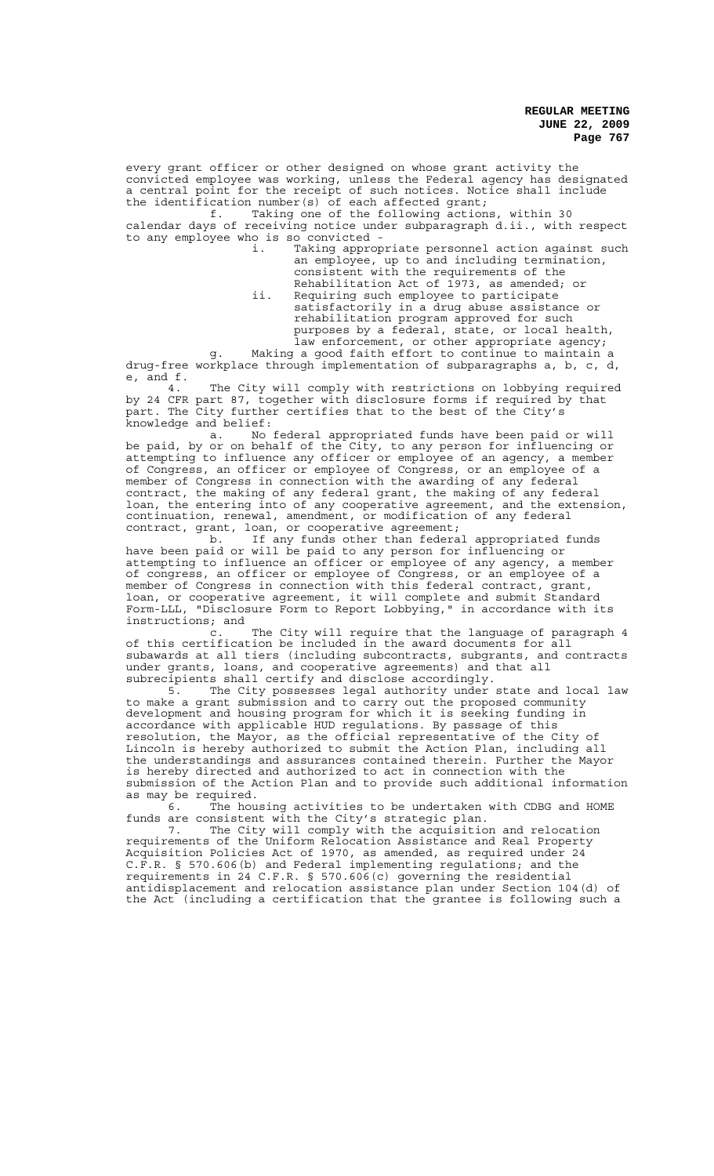every grant officer or other designed on whose grant activity the convicted employee was working, unless the Federal agency has designated a central point for the receipt of such notices. Notice shall include the identification number(s) of each affected grant;<br>f. Taking one of the following action;

Taking one of the following actions, within 30 calendar days of receiving notice under subparagraph d.ii., with respect to any employee who is so convicted -

i. Taking appropriate personnel action against such an employee, up to and including termination, consistent with the requirements of the

Rehabilitation Act of 1973, as amended; or ii. Requiring such employee to participate satisfactorily in a drug abuse assistance or rehabilitation program approved for such purposes by a federal, state, or local health, law enforcement, or other appropriate agency; g. Making a good faith effort to continue to maintain a

drug-free workplace through implementation of subparagraphs a, b, c, d, e, and f.

4. The City will comply with restrictions on lobbying required by 24 CFR part 87, together with disclosure forms if required by that part. The City further certifies that to the best of the City's knowledge and belief:

a. No federal appropriated funds have been paid or will be paid, by or on behalf of the City, to any person for influencing or attempting to influence any officer or employee of an agency, a member of Congress, an officer or employee of Congress, or an employee of a member of Congress in connection with the awarding of any federal contract, the making of any federal contract, the making of any federal grant, the making of loan, the entering into of any cooperative agreement, and the extension, continuation, renewal, amendment, or modification of any federal contract, grant, loan, or cooperative agreement;

b. If any funds other than federal appropriated funds have been paid or will be paid to any person for influencing or attempting to influence an officer or employee of any agency, a member of congress, an officer or employee of Congress, or an employee of a member of Congress in connection with this federal contract, grant, loan, or cooperative agreement, it will complete and submit Standard Form-LLL, "Disclosure Form to Report Lobbying," in accordance with its instructions; and

c. The City will require that the language of paragraph 4 of this certification be included in the award documents for all subawards at all tiers (including subcontracts, subgrants, and contracts under grants, loans, and cooperative agreements) and that all subrecipients shall certify and disclose accordingly.

5. The City possesses legal authority under state and local law to make a grant submission and to carry out the proposed community development and housing program for which it is seeking funding in accordance with applicable HUD regulations. By passage of this resolution, the Mayor, as the official representative of the City of Lincoln is hereby authorized to submit the Action Plan, including all the understandings and assurances contained therein. Further the Mayor is hereby directed and authorized to act in connection with the submission of the Action Plan and to provide such additional information as may be required.

6. The housing activities to be undertaken with CDBG and HOME funds are consistent with the City's strategic plan.

7. The City will comply with the acquisition and relocation requirements of the Uniform Relocation Assistance and Real Property Acquisition Policies Act of 1970, as amended, as required under 24 C.F.R. § 570.606(b) and Federal implementing regulations; and the requirements in 24 C.F.R. § 570.606(c) governing the residential antidisplacement and relocation assistance plan under Section 104(d) of the Act (including a certification that the grantee is following such a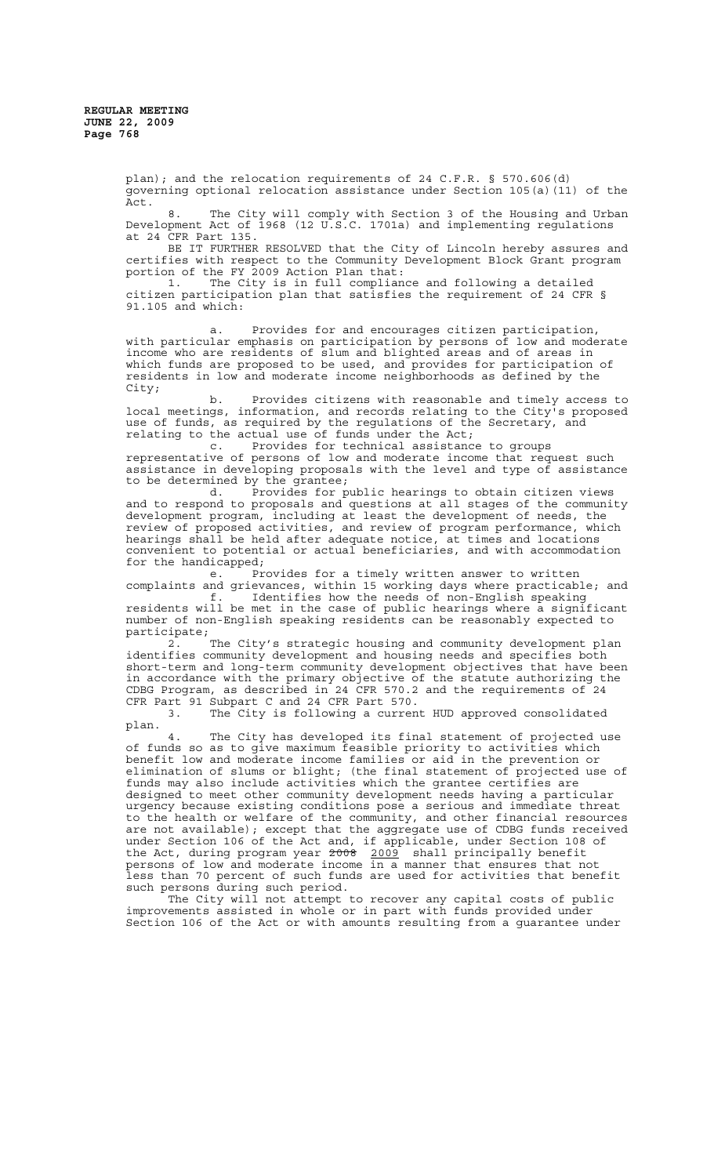plan); and the relocation requirements of 24 C.F.R. § 570.606(d) governing optional relocation assistance under Section 105(a)(11) of the Act.

8. The City will comply with Section 3 of the Housing and Urban Development Act of 1968 (12 U.S.C. 1701a) and implementing regulations at 24 CFR Part 135.

BE IT FURTHER RESOLVED that the City of Lincoln hereby assures and certifies with respect to the Community Development Block Grant program portion of the FY 2009 Action Plan that:

1. The City is in full compliance and following a detailed citizen participation plan that satisfies the requirement of 24 CFR § 91.105 and which:

a. Provides for and encourages citizen participation, with particular emphasis on participation by persons of low and moderate income who are residents of slum and blighted areas and of areas in which funds are proposed to be used, and provides for participation of residents in low and moderate income neighborhoods as defined by the City;

b. Provides citizens with reasonable and timely access to local meetings, information, and records relating to the City's proposed use of funds, as required by the regulations of the Secretary, and relating to the actual use of funds under the Act;<br>c. Provides for technical assistance

Provides for technical assistance to groups representative of persons of low and moderate income that request such<br>representative of persons of low and moderate income that request such assistance in developing proposals with the level and type of assistance to be determined by the grantee;

d. Provides for public hearings to obtain citizen views and to respond to proposals and questions at all stages of the community development program, including at least the development of needs, the review of proposed activities, and review of program performance, which hearings shall be held after adequate notice, at times and locations convenient to potential or actual beneficiaries, and with accommodation for the handicapped;

e. Provides for a timely written answer to written complaints and grievances, within 15 working days where practicable; and

f. Identifies how the needs of non-English speaking f. Identifies how the needs of non-English speaking<br>residents will be met in the case of public hearings where a significant number of non-English speaking residents can be reasonably expected to participate;

2. The City's strategic housing and community development plan identifies community development and housing needs and specifies both short-term and long-term community development objectives that have been in accordance with the primary objective of the statute authorizing the CDBG Program, as described in 24 CFR 570.2 and the requirements of 24 CFR Part 91 Subpart C and 24 CFR Part 570.

3. The City is following a current HUD approved consolidated plan.

4. The City has developed its final statement of projected use of funds so as to give maximum feasible priority to activities which benefit low and moderate income families or aid in the prevention or elimination of slums or blight; (the final statement of projected use of funds may also include activities which the grantee certifies are designed to meet other community development needs having a particular urgency because existing conditions pose a serious and immediate threat to the health or welfare of the community, and other financial resources are not available); except that the aggregate use of CDBG funds received under Section 106 of the Act and, if applicable, under Section 108 of the Act, during program year 2008 2009 shall principally benefit persons of low and moderate income in a manner that ensures that not less than 70 percent of such funds are used for activities that benefit such persons during such period.

The City will not attempt to recover any capital costs of public improvements assisted in whole or in part with funds provided under Section 106 of the Act or with amounts resulting from a guarantee under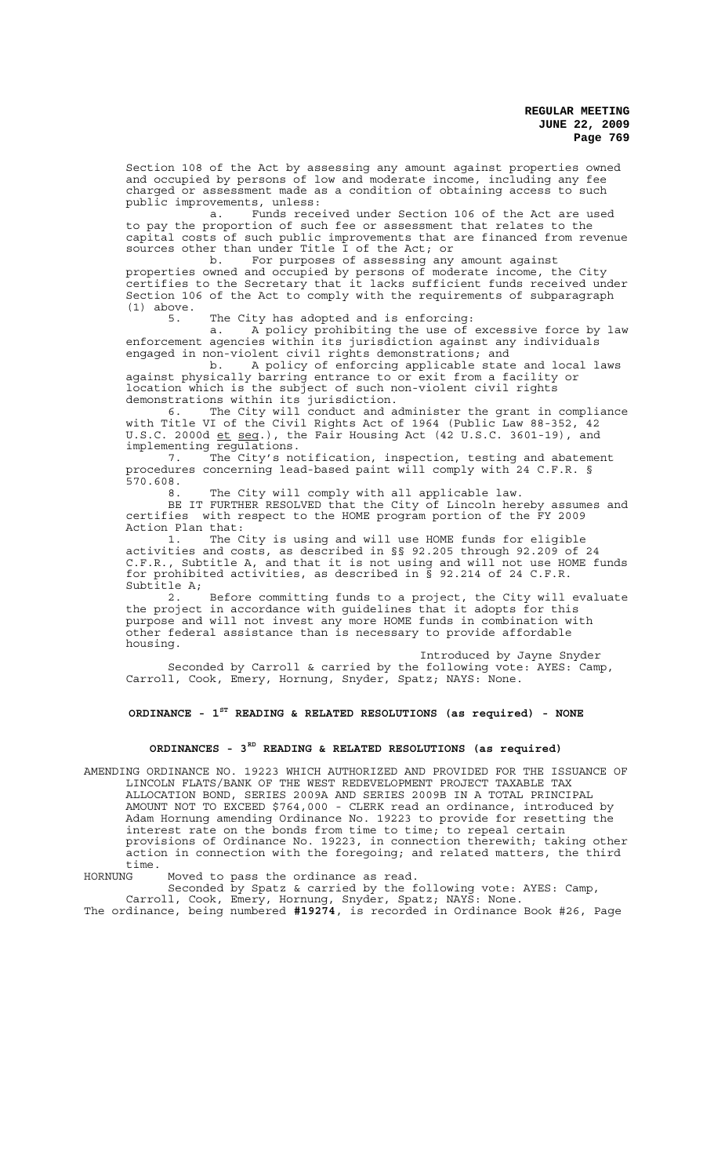Section 108 of the Act by assessing any amount against properties owned and occupied by persons of low and moderate income, including any fee charged or assessment made as a condition of obtaining access to such public improvements, unless:

a. Funds received under Section 106 of the Act are used to pay the proportion of such fee or assessment that relates to the capital costs of such public improvements that are financed from revenue sources other than under Title I of the Act; or

b. For purposes of assessing any amount against properties owned and occupied by persons of moderate income, the City certifies to the Secretary that it lacks sufficient funds received under Section 106 of the Act to comply with the requirements of subparagraph (1) above.

5. The City has adopted and is enforcing:

a. A policy prohibiting the use of excessive force by law enforcement agencies within its jurisdiction against any individuals engaged in non-violent civil rights demonstrations; and

b. A policy of enforcing applicable state and local laws against physically barring entrance to or exit from a facility or location which is the subject of such non-violent civil rights demonstrations within its jurisdiction.

6. The City will conduct and administer the grant in compliance with Title VI of the Civil Rights Act of 1964 (Public Law 88-352, 42 U.S.C. 2000d <u>et seq</u>.), the Fair Housing Act (42 U.S.C. 3601-19), and implementing regulations.

7. The City's notification, inspection, testing and abatement procedures concerning lead-based paint will comply with 24 C.F.R. § 570.608.

8. The City will comply with all applicable law.

BE IT FURTHER RESOLVED that the City of Lincoln hereby assumes and certifies with respect to the HOME program portion of the FY 2009 Action Plan that:

1. The City is using and will use HOME funds for eligible activities and costs, as described in §§ 92.205 through 92.209 of 24 C.F.R., Subtitle A, and that it is not using and will not use HOME funds for prohibited activities, as described in § 92.214 of 24 C.F.R. Subtitle A;

2. Before committing funds to a project, the City will evaluate the project in accordance with guidelines that it adopts for this purpose and will not invest any more HOME funds in combination with other federal assistance than is necessary to provide affordable housing.

Introduced by Jayne Snyder Seconded by Carroll & carried by the following vote: AYES: Camp, Carroll, Cook, Emery, Hornung, Snyder, Spatz; NAYS: None.

**ORDINANCE - 1ST READING & RELATED RESOLUTIONS (as required) - NONE**

# **ORDINANCES - 3RD READING & RELATED RESOLUTIONS (as required)**

AMENDING ORDINANCE NO. 19223 WHICH AUTHORIZED AND PROVIDED FOR THE ISSUANCE OF LINCOLN FLATS/BANK OF THE WEST REDEVELOPMENT PROJECT TAXABLE TAX ALLOCATION BOND, SERIES 2009A AND SERIES 2009B IN A TOTAL PRINCIPAL AMOUNT NOT TO EXCEED \$764,000 - CLERK read an ordinance, introduced by Adam Hornung amending Ordinance No. 19223 to provide for resetting the interest rate on the bonds from time to time; to repeal certain provisions of Ordinance No. 19223, in connection therewith; taking other action in connection with the foregoing; and related matters, the third time.

HORNUNG Moved to pass the ordinance as read.

Seconded by Spatz & carried by the following vote: AYES: Camp,

Carroll, Cook, Emery, Hornung, Snyder, Spatz; NAYS: None. The ordinance, being numbered **#19274**, is recorded in Ordinance Book #26, Page